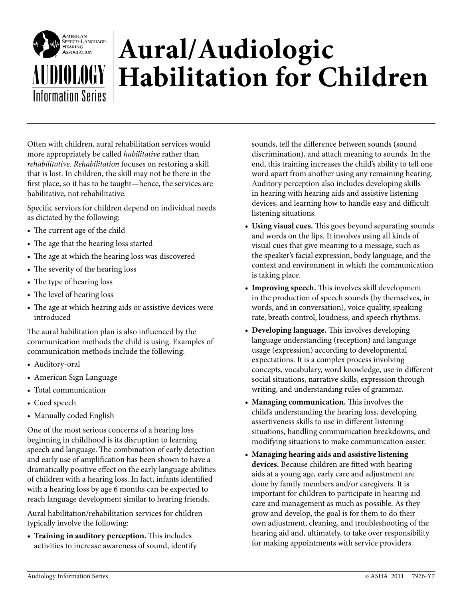

## **Aural/Audiologic** *Aural/Audiologic**Aufabilitation for Children*

Often with children, aural rehabilitation services would more appropriately be called *habilitative* rather than *rehabilitative*. *Rehabilitation* focuses on restoring a skill that is lost. In children, the skill may not be there in the first place, so it has to be taught—hence, the services are habilitative, not rehabilitative.

Specific services for children depend on individual needs as dictated by the following:

- The current age of the child
- The age that the hearing loss started
- The age at which the hearing loss was discovered
- The severity of the hearing loss
- The type of hearing loss
- The level of hearing loss
- The age at which hearing aids or assistive devices were introduced

The aural habilitation plan is also influenced by the communication methods the child is using. Examples of communication methods include the following:

- Auditory-oral
- American Sign Language
- Total communication
- Cued speech
- Manually coded English

One of the most serious concerns of a hearing loss beginning in childhood is its disruption to learning speech and language. The combination of early detection and early use of amplification has been shown to have a dramatically positive effect on the early language abilities of children with a hearing loss. In fact, infants identified with a hearing loss by age 6 months can be expected to reach language development similar to hearing friends.

Aural habilitation/rehabilitation services for children typically involve the following:

**r Training in auditory perception.** This includes activities to increase awareness of sound, identify sounds, tell the difference between sounds (sound discrimination), and attach meaning to sounds. In the end, this training increases the child's ability to tell one word apart from another using any remaining hearing. Auditory perception also includes developing skills in hearing with hearing aids and assistive listening devices, and learning how to handle easy and difficult listening situations.

- **r Using visual cues.** This goes beyond separating sounds and words on the lips. It involves using all kinds of visual cues that give meaning to a message, such as the speaker's facial expression, body language, and the context and environment in which the communication is taking place.
- **r Improving speech.** This involves skill development in the production of speech sounds (by themselves, in words, and in conversation), voice quality, speaking rate, breath control, loudness, and speech rhythms.
- **r Developing language.** This involves developing language understanding (reception) and language usage (expression) according to developmental expectations. It is a complex process involving concepts, vocabulary, word knowledge, use in different social situations, narrative skills, expression through writing, and understanding rules of grammar.
- **r Managing communication.** This involves the child's understanding the hearing loss, developing assertiveness skills to use in different listening situations, handling communication breakdowns, and modifying situations to make communication easier.
- **r Managing hearing aids and assistive listening devices.** Because children are fitted with hearing aids at a young age, early care and adjustment are done by family members and/or caregivers. It is important for children to participate in hearing aid care and management as much as possible. As they grow and develop, the goal is for them to do their own adjustment, cleaning, and troubleshooting of the hearing aid and, ultimately, to take over responsibility for making appointments with service providers.